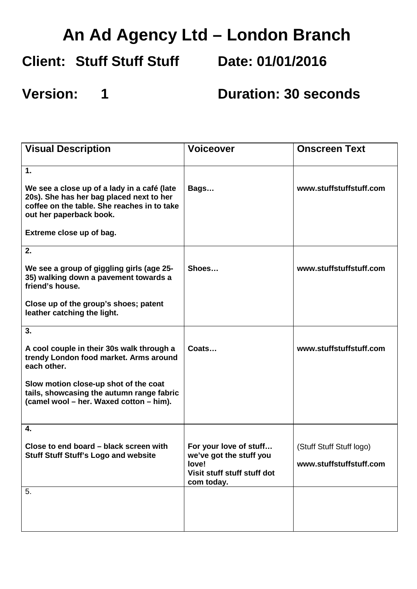## **An Ad Agency Ltd – London Branch**

#### **Client: Stuff Stuff Stuff**

**Date: 01/01/2016**

### **Version: 1**

**Duration: 30 seconds**

| <b>Visual Description</b>                                                                                                                                         | <b>Voiceover</b>                                                                                        | <b>Onscreen Text</b>     |
|-------------------------------------------------------------------------------------------------------------------------------------------------------------------|---------------------------------------------------------------------------------------------------------|--------------------------|
| 1.                                                                                                                                                                |                                                                                                         |                          |
| We see a close up of a lady in a café (late<br>20s). She has her bag placed next to her<br>coffee on the table. She reaches in to take<br>out her paperback book. | Bags                                                                                                    | www.stuffstuffstuff.com  |
| Extreme close up of bag.                                                                                                                                          |                                                                                                         |                          |
| 2.                                                                                                                                                                |                                                                                                         |                          |
| We see a group of giggling girls (age 25-<br>35) walking down a pavement towards a<br>friend's house.                                                             | Shoes                                                                                                   | www.stuffstuffstuff.com  |
| Close up of the group's shoes; patent<br>leather catching the light.                                                                                              |                                                                                                         |                          |
| 3.                                                                                                                                                                |                                                                                                         |                          |
| A cool couple in their 30s walk through a<br>trendy London food market. Arms around<br>each other.                                                                | Coats                                                                                                   | www.stuffstuffstuff.com  |
| Slow motion close-up shot of the coat<br>tails, showcasing the autumn range fabric<br>(camel wool - her. Waxed cotton - him).                                     |                                                                                                         |                          |
| 4.                                                                                                                                                                |                                                                                                         |                          |
| Close to end board - black screen with<br><b>Stuff Stuff Stuff's Logo and website</b>                                                                             | For your love of stuff<br>we've got the stuff you<br>love!<br>Visit stuff stuff stuff dot<br>com today. | (Stuff Stuff Stuff logo) |
|                                                                                                                                                                   |                                                                                                         | www.stuffstuffstuff.com  |
| 5.                                                                                                                                                                |                                                                                                         |                          |
|                                                                                                                                                                   |                                                                                                         |                          |
|                                                                                                                                                                   |                                                                                                         |                          |